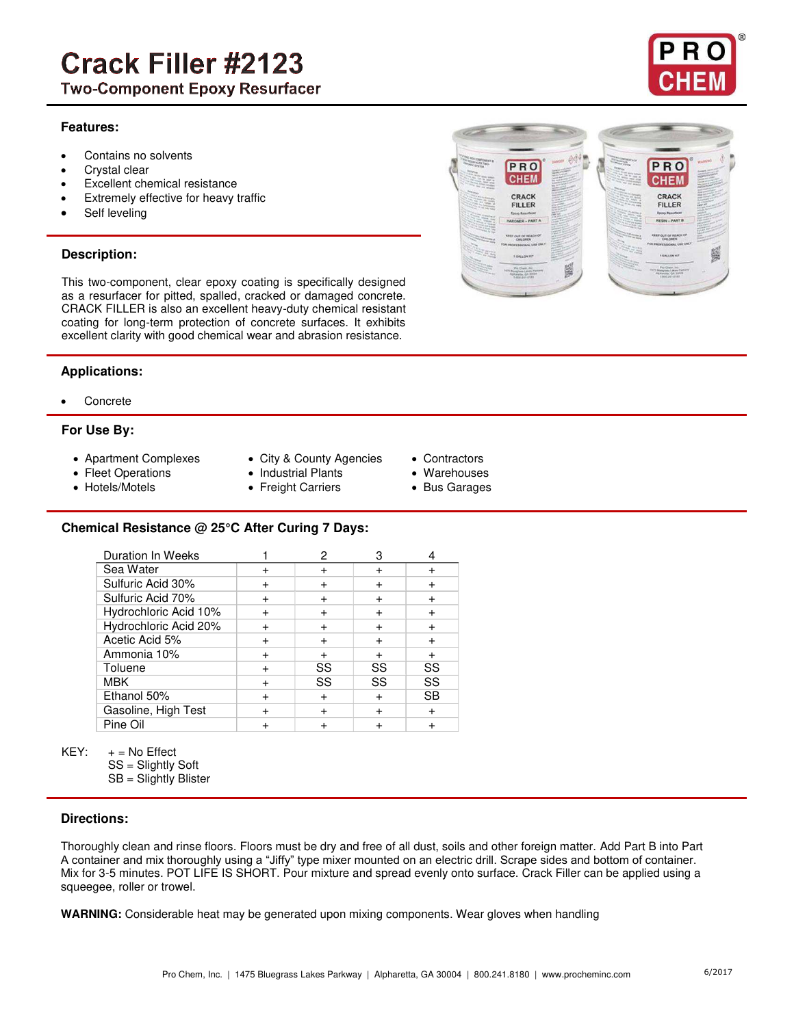# **Crack Filler #2123**

**Two-Component Epoxy Resurfacer** 

#### **Features:**

- Contains no solvents
- Crystal clear
- Excellent chemical resistance
- Extremely effective for heavy traffic
- Self leveling

# **Description:**

This two-component, clear epoxy coating is specifically designed as a resurfacer for pitted, spalled, cracked or damaged concrete. CRACK FILLER is also an excellent heavy-duty chemical resistant coating for long-term protection of concrete surfaces. It exhibits excellent clarity with good chemical wear and abrasion resistance.

#### **Applications:**

**Concrete** 

#### **For Use By:**

- 
- 
- 
- Apartment Complexes City & County Agencies Contractors
- Fleet Operations Industrial Plants Warehouses
- Hotels/Motels Freight Carriers Bus Garages
- 
- -

#### **Chemical Resistance @ 25°C After Curing 7 Days:**

| <b>Duration In Weeks</b> |           |        | З         |           |
|--------------------------|-----------|--------|-----------|-----------|
| Sea Water                |           |        |           |           |
| Sulfuric Acid 30%        |           |        |           |           |
| Sulfuric Acid 70%        |           |        |           |           |
| Hydrochloric Acid 10%    |           |        |           |           |
| Hydrochloric Acid 20%    | $\ddot{}$ | $\div$ |           |           |
| Acetic Acid 5%           | $\ddot{}$ |        |           |           |
| Ammonia 10%              |           |        |           |           |
| Toluene                  |           | SS     | SS        | SS        |
| <b>MBK</b>               |           | SS     | SS        | SS        |
| Ethanol 50%              |           |        | $\ddot{}$ | <b>SB</b> |
| Gasoline, High Test      |           |        |           |           |
| Pine Oil                 |           |        |           |           |

KEY:  $+$  = No Effect

- SS = Slightly Soft
- SB = Slightly Blister

#### **Directions:**

Thoroughly clean and rinse floors. Floors must be dry and free of all dust, soils and other foreign matter. Add Part B into Part A container and mix thoroughly using a "Jiffy" type mixer mounted on an electric drill. Scrape sides and bottom of container. Mix for 3-5 minutes. POT LIFE IS SHORT. Pour mixture and spread evenly onto surface. Crack Filler can be applied using a squeegee, roller or trowel.

**WARNING:** Considerable heat may be generated upon mixing components. Wear gloves when handling